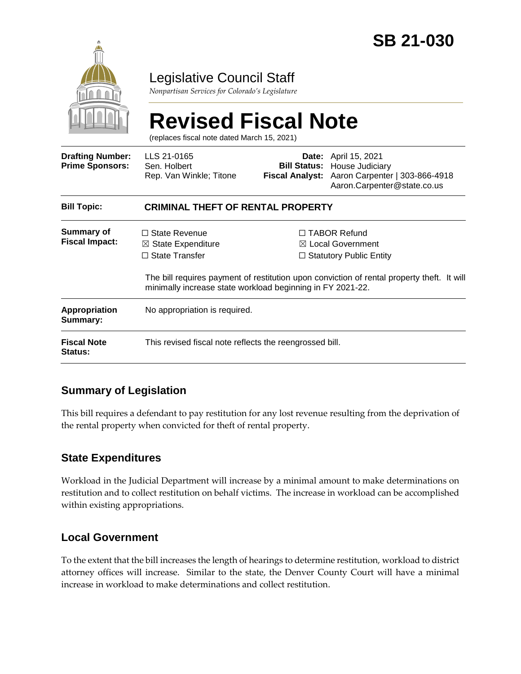

# Legislative Council Staff

*Nonpartisan Services for Colorado's Legislature*

# **Revised Fiscal Note**

(replaces fiscal note dated March 15, 2021)

| <b>Drafting Number:</b><br><b>Prime Sponsors:</b> | LLS 21-0165<br>Sen. Holbert<br>Rep. Van Winkle; Titone                                                                                       |  | <b>Date:</b> April 15, 2021<br><b>Bill Status: House Judiciary</b><br>Fiscal Analyst: Aaron Carpenter   303-866-4918<br>Aaron.Carpenter@state.co.us                                 |  |
|---------------------------------------------------|----------------------------------------------------------------------------------------------------------------------------------------------|--|-------------------------------------------------------------------------------------------------------------------------------------------------------------------------------------|--|
| <b>Bill Topic:</b>                                | <b>CRIMINAL THEFT OF RENTAL PROPERTY</b>                                                                                                     |  |                                                                                                                                                                                     |  |
| <b>Summary of</b><br><b>Fiscal Impact:</b>        | $\Box$ State Revenue<br>$\boxtimes$ State Expenditure<br>$\Box$ State Transfer<br>minimally increase state workload beginning in FY 2021-22. |  | $\Box$ TABOR Refund<br>$\boxtimes$ Local Government<br>$\Box$ Statutory Public Entity<br>The bill requires payment of restitution upon conviction of rental property theft. It will |  |
| <b>Appropriation</b><br>Summary:                  | No appropriation is required.                                                                                                                |  |                                                                                                                                                                                     |  |
| <b>Fiscal Note</b><br><b>Status:</b>              | This revised fiscal note reflects the reengrossed bill.                                                                                      |  |                                                                                                                                                                                     |  |

#### **Summary of Legislation**

This bill requires a defendant to pay restitution for any lost revenue resulting from the deprivation of the rental property when convicted for theft of rental property.

#### **State Expenditures**

Workload in the Judicial Department will increase by a minimal amount to make determinations on restitution and to collect restitution on behalf victims. The increase in workload can be accomplished within existing appropriations.

#### **Local Government**

To the extent that the bill increases the length of hearings to determine restitution, workload to district attorney offices will increase. Similar to the state, the Denver County Court will have a minimal increase in workload to make determinations and collect restitution.